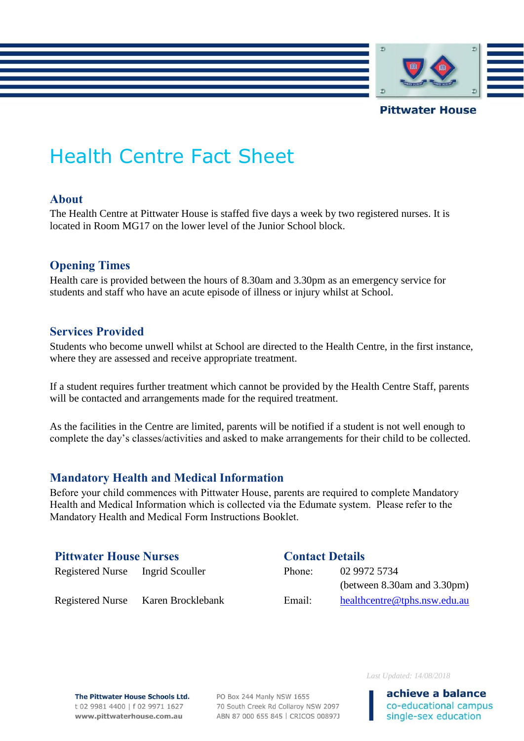

### Health Centre Fact Sheet

#### **About**

The Health Centre at Pittwater House is staffed five days a week by two registered nurses. It is located in Room MG17 on the lower level of the Junior School block.

### **Opening Times**

Health care is provided between the hours of 8.30am and 3.30pm as an emergency service for students and staff who have an acute episode of illness or injury whilst at School.

### **Services Provided**

Students who become unwell whilst at School are directed to the Health Centre, in the first instance, where they are assessed and receive appropriate treatment.

If a student requires further treatment which cannot be provided by the Health Centre Staff, parents will be contacted and arrangements made for the required treatment.

As the facilities in the Centre are limited, parents will be notified if a student is not well enough to complete the day's classes/activities and asked to make arrangements for their child to be collected.

### **Mandatory Health and Medical Information**

Before your child commences with Pittwater House, parents are required to complete Mandatory Health and Medical Information which is collected via the Edumate system. Please refer to the Mandatory Health and Medical Form Instructions Booklet.

### **Pittwater House Nurses Contact Details**

# Registered Nurse Ingrid Scouller Phone: 02 9972 5734

(between 8.30am and 3.30pm) Registered Nurse Karen Brocklebank Email: [healthcentre@tphs.nsw.edu.au](mailto:healthcentre@tphs.nsw.edu.au)

The Pittwater House Schools Ltd. t 02 9981 4400 | f 02 9971 1627 www.pittwaterhouse.com.au

PO Box 244 Manly NSW 1655 70 South Creek Rd Collaroy NSW 2097 ABN 87 000 655 845 | CRICOS 00897J *Last Updated: 14/08/2018*

achieve a balance co-educational campus single-sex education